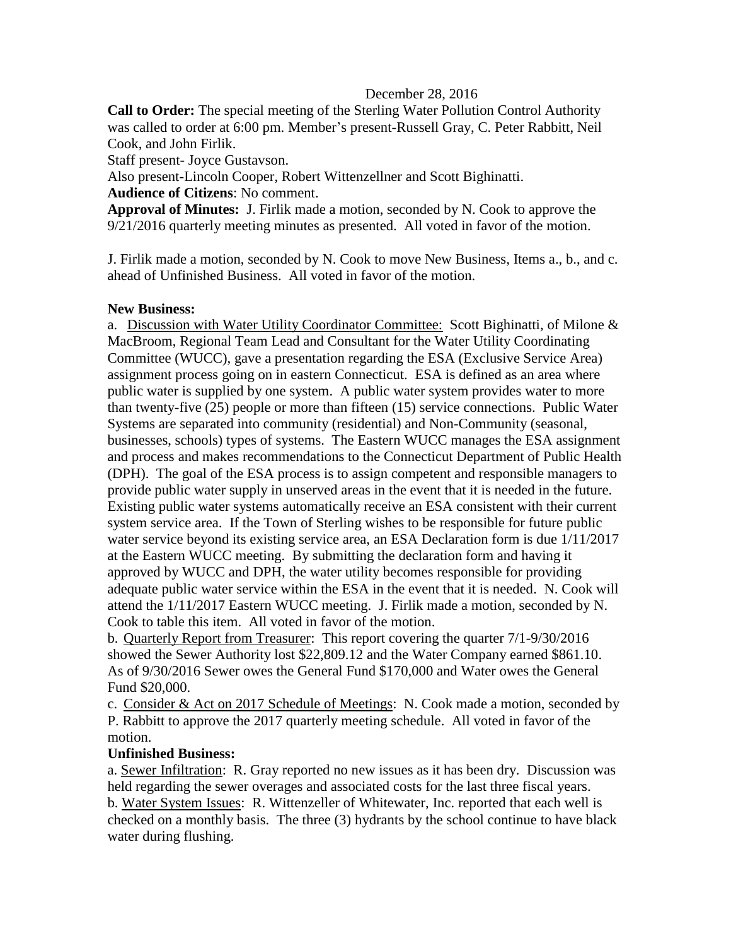## December 28, 2016

**Call to Order:** The special meeting of the Sterling Water Pollution Control Authority was called to order at 6:00 pm. Member's present-Russell Gray, C. Peter Rabbitt, Neil Cook, and John Firlik.

Staff present- Joyce Gustavson.

Also present-Lincoln Cooper, Robert Wittenzellner and Scott Bighinatti.

**Audience of Citizens**: No comment.

**Approval of Minutes:** J. Firlik made a motion, seconded by N. Cook to approve the 9/21/2016 quarterly meeting minutes as presented. All voted in favor of the motion.

J. Firlik made a motion, seconded by N. Cook to move New Business, Items a., b., and c. ahead of Unfinished Business. All voted in favor of the motion.

## **New Business:**

a. Discussion with Water Utility Coordinator Committee: Scott Bighinatti, of Milone & MacBroom, Regional Team Lead and Consultant for the Water Utility Coordinating Committee (WUCC), gave a presentation regarding the ESA (Exclusive Service Area) assignment process going on in eastern Connecticut. ESA is defined as an area where public water is supplied by one system. A public water system provides water to more than twenty-five (25) people or more than fifteen (15) service connections. Public Water Systems are separated into community (residential) and Non-Community (seasonal, businesses, schools) types of systems. The Eastern WUCC manages the ESA assignment and process and makes recommendations to the Connecticut Department of Public Health (DPH). The goal of the ESA process is to assign competent and responsible managers to provide public water supply in unserved areas in the event that it is needed in the future. Existing public water systems automatically receive an ESA consistent with their current system service area. If the Town of Sterling wishes to be responsible for future public water service beyond its existing service area, an ESA Declaration form is due 1/11/2017 at the Eastern WUCC meeting. By submitting the declaration form and having it approved by WUCC and DPH, the water utility becomes responsible for providing adequate public water service within the ESA in the event that it is needed. N. Cook will attend the 1/11/2017 Eastern WUCC meeting. J. Firlik made a motion, seconded by N. Cook to table this item. All voted in favor of the motion.

b. Quarterly Report from Treasurer: This report covering the quarter 7/1-9/30/2016 showed the Sewer Authority lost \$22,809.12 and the Water Company earned \$861.10. As of 9/30/2016 Sewer owes the General Fund \$170,000 and Water owes the General Fund \$20,000.

c. Consider & Act on 2017 Schedule of Meetings: N. Cook made a motion, seconded by P. Rabbitt to approve the 2017 quarterly meeting schedule. All voted in favor of the motion.

## **Unfinished Business:**

a. Sewer Infiltration: R. Gray reported no new issues as it has been dry. Discussion was held regarding the sewer overages and associated costs for the last three fiscal years. b. Water System Issues: R. Wittenzeller of Whitewater, Inc. reported that each well is checked on a monthly basis. The three (3) hydrants by the school continue to have black water during flushing.